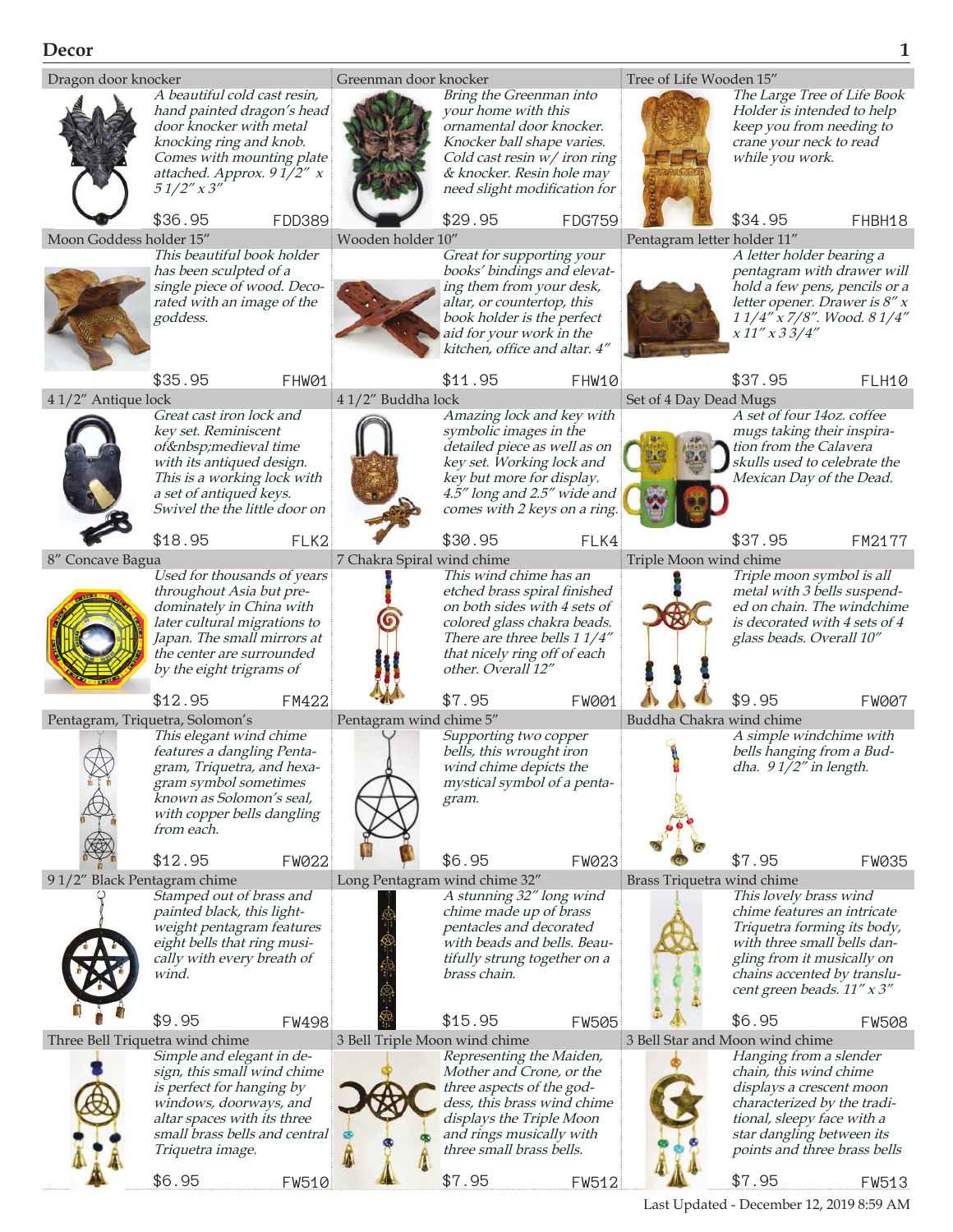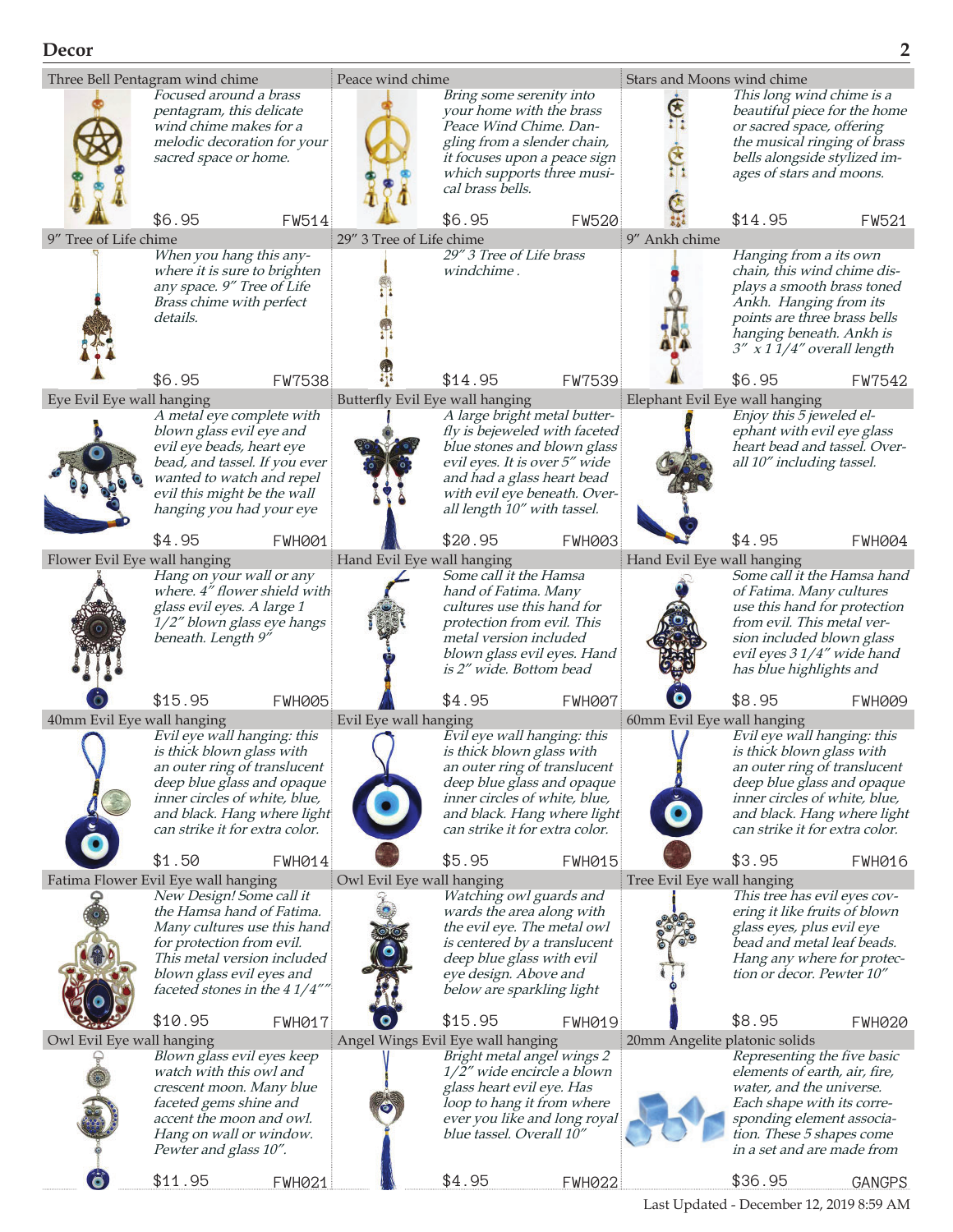

Last Updated - December 12, 2019 8:59 AM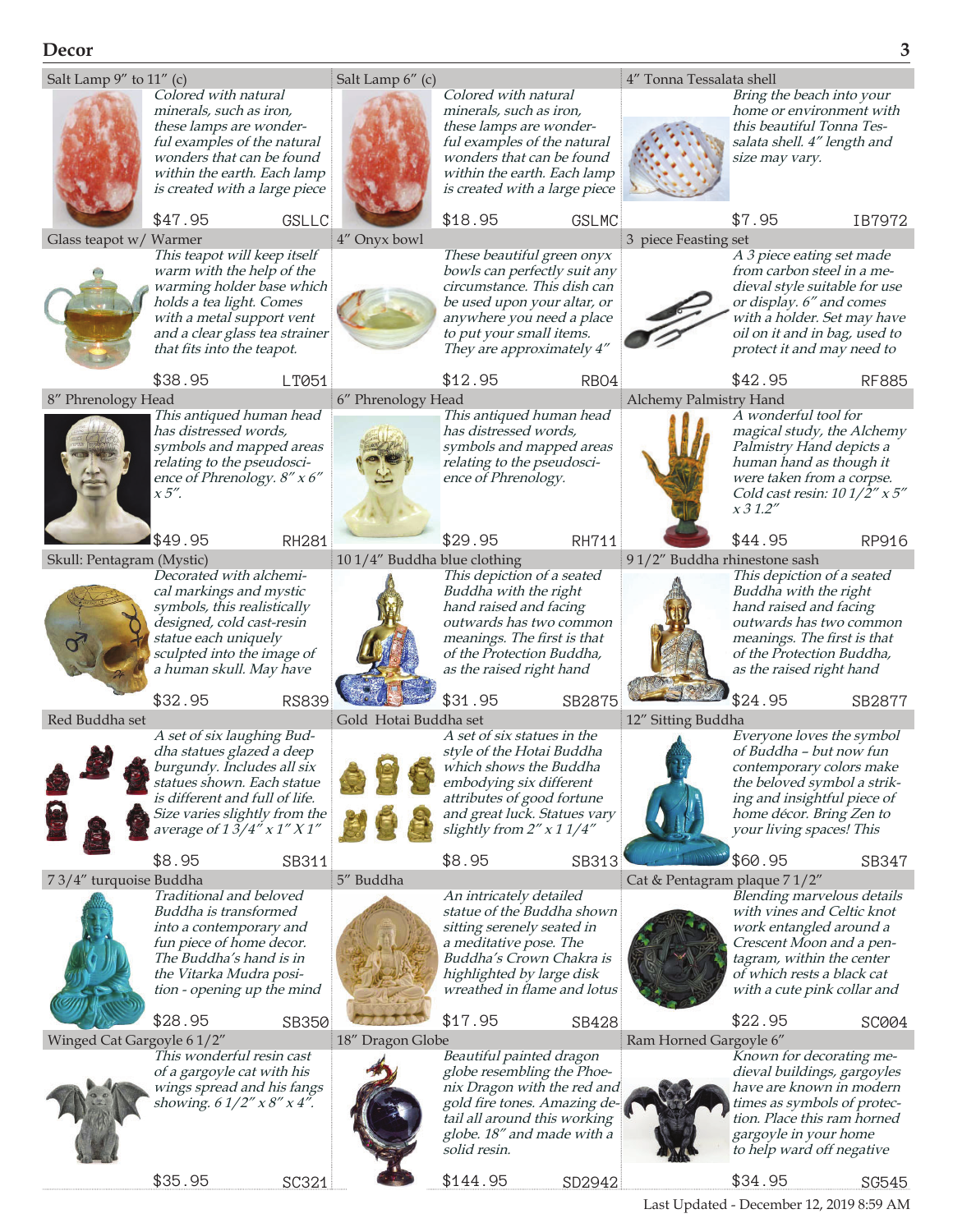# **Decor 3**



Last Updated - December 12, 2019 8:59 AM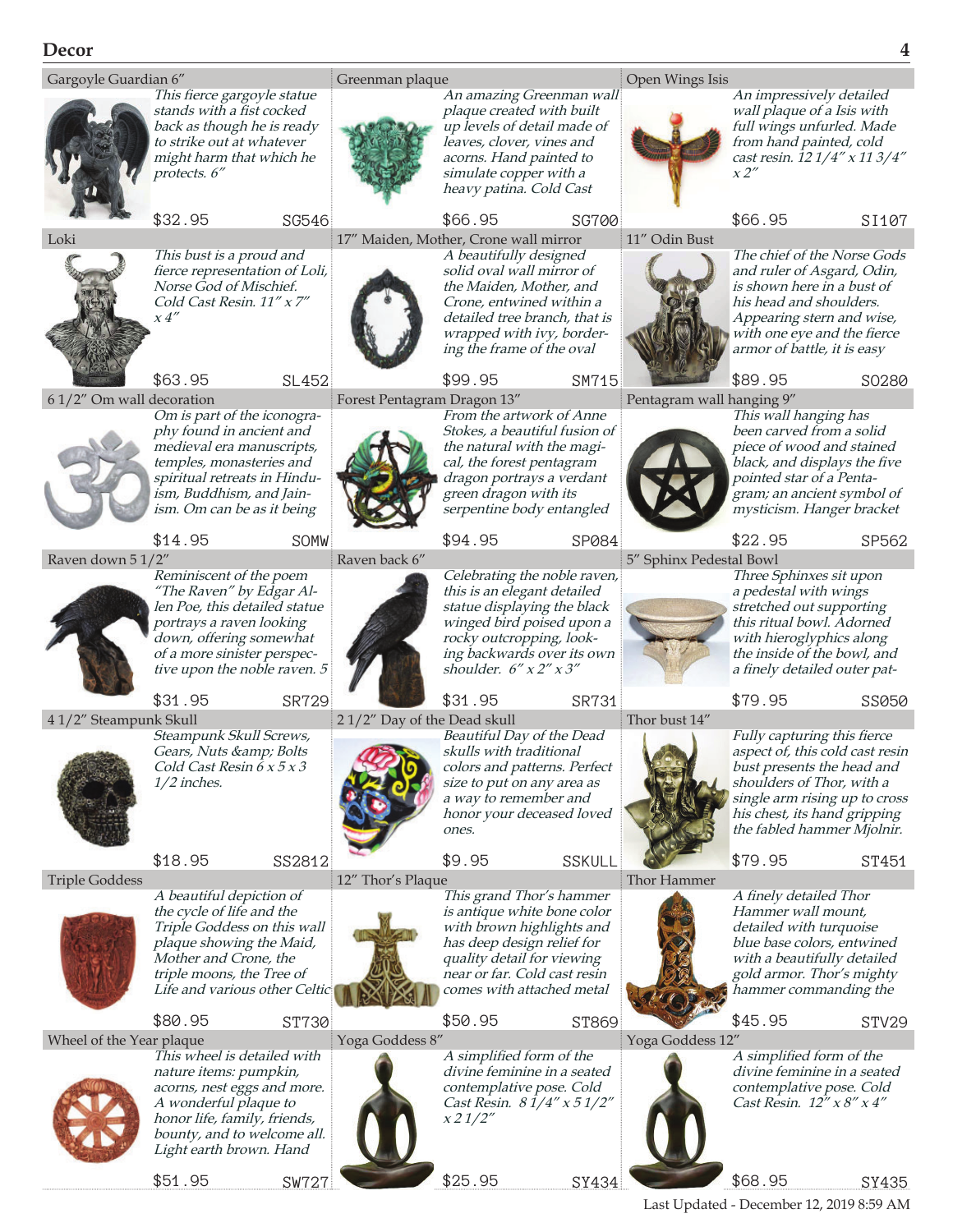

Last Updated - December 12, 2019 8:59 AM